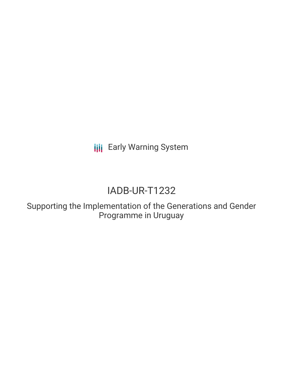**III** Early Warning System

## IADB-UR-T1232

Supporting the Implementation of the Generations and Gender Programme in Uruguay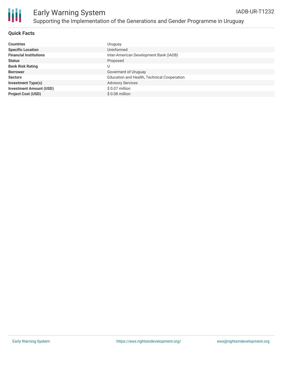

## Early Warning System Supporting the Implementation of the Generations and Gender Programme in Uruguay

## **Quick Facts**

| <b>Countries</b>               | Uruguay                                     |
|--------------------------------|---------------------------------------------|
| <b>Specific Location</b>       | Uninformed                                  |
| <b>Financial Institutions</b>  | Inter-American Development Bank (IADB)      |
| <b>Status</b>                  | Proposed                                    |
| <b>Bank Risk Rating</b>        | U                                           |
| <b>Borrower</b>                | Goverment of Uruguay                        |
| <b>Sectors</b>                 | Education and Health, Technical Cooperation |
| <b>Investment Type(s)</b>      | <b>Advisory Services</b>                    |
| <b>Investment Amount (USD)</b> | \$0.07 million                              |
| <b>Project Cost (USD)</b>      | $$0.08$ million                             |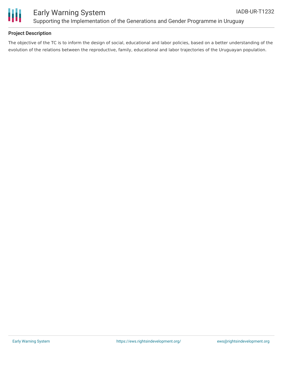

## **Project Description**

The objective of the TC is to inform the design of social, educational and labor policies, based on a better understanding of the evolution of the relations between the reproductive, family, educational and labor trajectories of the Uruguayan population.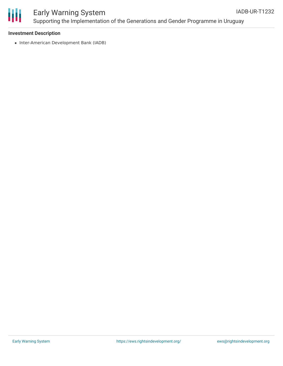

# Ш

## Early Warning System Supporting the Implementation of the Generations and Gender Programme in Uruguay

## **Investment Description**

• Inter-American Development Bank (IADB)